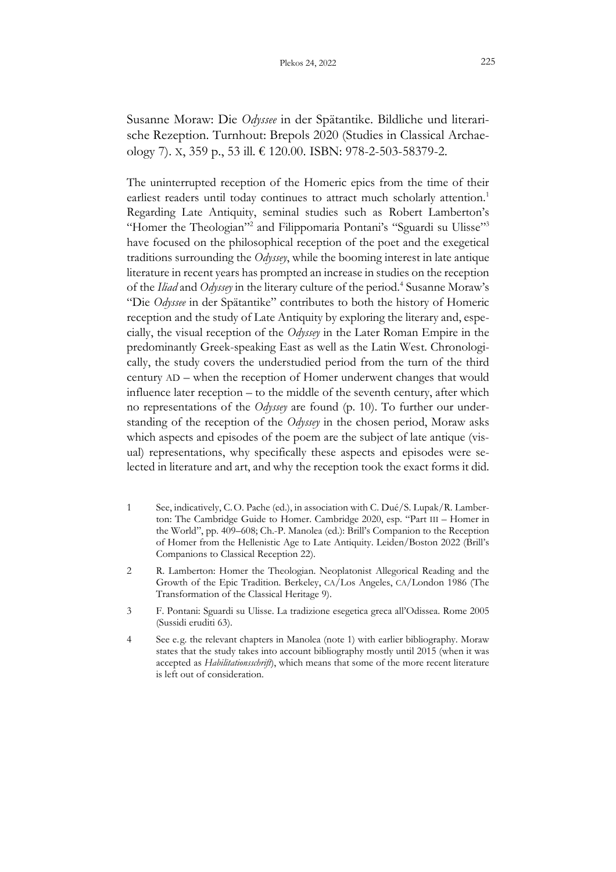Susanne Moraw: Die *Odyssee* in der Spätantike. Bildliche und literarische Rezeption. Turnhout: Brepols 2020 (Studies in Classical Archaeology 7). X, 359 p., 53 ill. € 120.00. ISBN: 978-2-503-58379-2.

The uninterrupted reception of the Homeric epics from the time of their earliest readers until today continues to attract much scholarly attention.<sup>1</sup> Regarding Late Antiquity, seminal studies such as Robert Lamberton's "Homer the Theologian"<sup>2</sup> and Filippomaria Pontani's "Sguardi su Ulisse"<sup>3</sup> have focused on the philosophical reception of the poet and the exegetical traditions surrounding the *Odyssey*, while the booming interest in late antique literature in recent years has prompted an increase in studies on the reception of the *Iliad* and *Odyssey* in the literary culture of the period.<sup>4</sup> Susanne Moraw's "Die *Odyssee* in der Spätantike" contributes to both the history of Homeric reception and the study of Late Antiquity by exploring the literary and, especially, the visual reception of the *Odyssey* in the Later Roman Empire in the predominantly Greek-speaking East as well as the Latin West. Chronologically, the study covers the understudied period from the turn of the third century AD – when the reception of Homer underwent changes that would influence later reception – to the middle of the seventh century, after which no representations of the *Odyssey* are found (p. 10). To further our understanding of the reception of the *Odyssey* in the chosen period, Moraw asks which aspects and episodes of the poem are the subject of late antique (visual) representations, why specifically these aspects and episodes were selected in literature and art, and why the reception took the exact forms it did.

- 1 See, indicatively, C.O. Pache (ed.), in association with C. Dué/S. Lupak/R. Lamberton: The Cambridge Guide to Homer. Cambridge 2020, esp. "Part III – Homer in the World", pp. 409–608; Ch.-P. Manolea (ed.): Brill's Companion to the Reception of Homer from the Hellenistic Age to Late Antiquity. Leiden/Boston 2022 (Brill's Companions to Classical Reception 22).
- 2 R. Lamberton: Homer the Theologian. Neoplatonist Allegorical Reading and the Growth of the Epic Tradition. Berkeley, CA/Los Angeles, CA/London 1986 (The Transformation of the Classical Heritage 9).
- 3 F. Pontani: Sguardi su Ulisse. La tradizione esegetica greca all'Odissea. Rome 2005 (Sussidi eruditi 63).
- 4 See e.g. the relevant chapters in Manolea (note 1) with earlier bibliography. Moraw states that the study takes into account bibliography mostly until 2015 (when it was accepted as *Habilitationsschrift*), which means that some of the more recent literature is left out of consideration.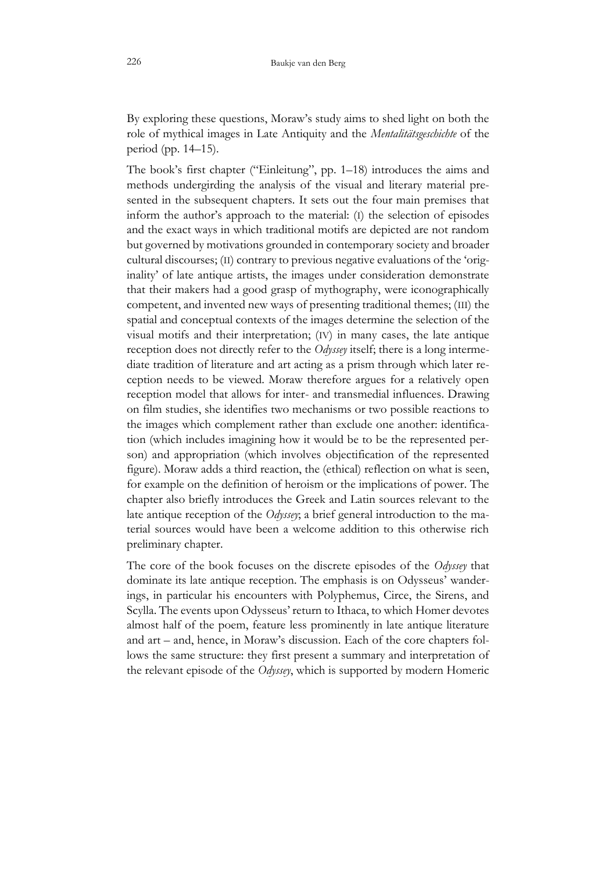By exploring these questions, Moraw's study aims to shed light on both the role of mythical images in Late Antiquity and the *Mentalitätsgeschichte* of the period (pp. 14–15).

The book's first chapter ("Einleitung", pp. 1–18) introduces the aims and methods undergirding the analysis of the visual and literary material presented in the subsequent chapters. It sets out the four main premises that inform the author's approach to the material: (I) the selection of episodes and the exact ways in which traditional motifs are depicted are not random but governed by motivations grounded in contemporary society and broader cultural discourses; (II) contrary to previous negative evaluations of the 'originality' of late antique artists, the images under consideration demonstrate that their makers had a good grasp of mythography, were iconographically competent, and invented new ways of presenting traditional themes; (III) the spatial and conceptual contexts of the images determine the selection of the visual motifs and their interpretation; (IV) in many cases, the late antique reception does not directly refer to the *Odyssey* itself; there is a long intermediate tradition of literature and art acting as a prism through which later reception needs to be viewed. Moraw therefore argues for a relatively open reception model that allows for inter- and transmedial influences. Drawing on film studies, she identifies two mechanisms or two possible reactions to the images which complement rather than exclude one another: identification (which includes imagining how it would be to be the represented person) and appropriation (which involves objectification of the represented figure). Moraw adds a third reaction, the (ethical) reflection on what is seen, for example on the definition of heroism or the implications of power. The chapter also briefly introduces the Greek and Latin sources relevant to the late antique reception of the *Odyssey*; a brief general introduction to the material sources would have been a welcome addition to this otherwise rich preliminary chapter.

The core of the book focuses on the discrete episodes of the *Odyssey* that dominate its late antique reception. The emphasis is on Odysseus' wanderings, in particular his encounters with Polyphemus, Circe, the Sirens, and Scylla. The events upon Odysseus' return to Ithaca, to which Homer devotes almost half of the poem, feature less prominently in late antique literature and art – and, hence, in Moraw's discussion. Each of the core chapters follows the same structure: they first present a summary and interpretation of the relevant episode of the *Odyssey*, which is supported by modern Homeric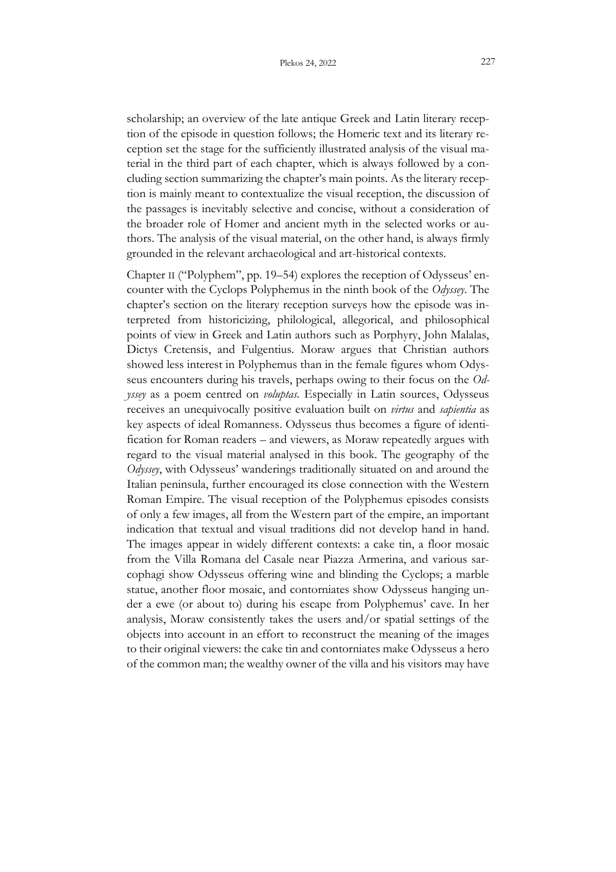scholarship; an overview of the late antique Greek and Latin literary reception of the episode in question follows; the Homeric text and its literary reception set the stage for the sufficiently illustrated analysis of the visual material in the third part of each chapter, which is always followed by a concluding section summarizing the chapter's main points. As the literary reception is mainly meant to contextualize the visual reception, the discussion of the passages is inevitably selective and concise, without a consideration of the broader role of Homer and ancient myth in the selected works or authors. The analysis of the visual material, on the other hand, is always firmly grounded in the relevant archaeological and art-historical contexts.

Chapter II ("Polyphem", pp. 19–54) explores the reception of Odysseus' encounter with the Cyclops Polyphemus in the ninth book of the *Odyssey*. The chapter's section on the literary reception surveys how the episode was interpreted from historicizing, philological, allegorical, and philosophical points of view in Greek and Latin authors such as Porphyry, John Malalas, Dictys Cretensis, and Fulgentius. Moraw argues that Christian authors showed less interest in Polyphemus than in the female figures whom Odysseus encounters during his travels, perhaps owing to their focus on the *Odyssey* as a poem centred on *voluptas.* Especially in Latin sources, Odysseus receives an unequivocally positive evaluation built on *virtus* and *sapientia* as key aspects of ideal Romanness. Odysseus thus becomes a figure of identification for Roman readers – and viewers, as Moraw repeatedly argues with regard to the visual material analysed in this book. The geography of the *Odyssey*, with Odysseus' wanderings traditionally situated on and around the Italian peninsula, further encouraged its close connection with the Western Roman Empire. The visual reception of the Polyphemus episodes consists of only a few images, all from the Western part of the empire, an important indication that textual and visual traditions did not develop hand in hand. The images appear in widely different contexts: a cake tin, a floor mosaic from the Villa Romana del Casale near Piazza Armerina, and various sarcophagi show Odysseus offering wine and blinding the Cyclops; a marble statue, another floor mosaic, and contorniates show Odysseus hanging under a ewe (or about to) during his escape from Polyphemus' cave. In her analysis, Moraw consistently takes the users and/or spatial settings of the objects into account in an effort to reconstruct the meaning of the images to their original viewers: the cake tin and contorniates make Odysseus a hero of the common man; the wealthy owner of the villa and his visitors may have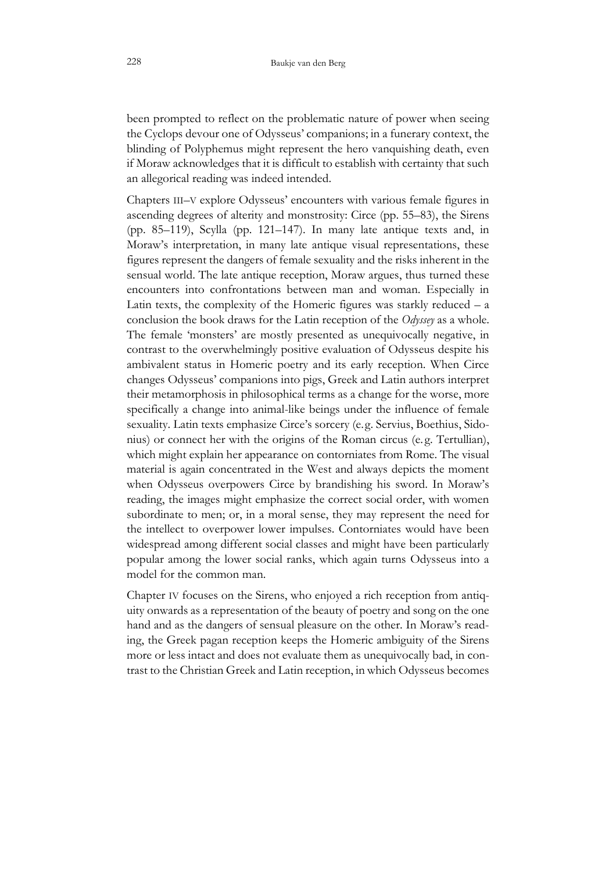been prompted to reflect on the problematic nature of power when seeing the Cyclops devour one of Odysseus' companions; in a funerary context, the blinding of Polyphemus might represent the hero vanquishing death, even if Moraw acknowledges that it is difficult to establish with certainty that such an allegorical reading was indeed intended.

Chapters III–V explore Odysseus' encounters with various female figures in ascending degrees of alterity and monstrosity: Circe (pp. 55–83), the Sirens (pp. 85–119), Scylla (pp. 121–147). In many late antique texts and, in Moraw's interpretation, in many late antique visual representations, these figures represent the dangers of female sexuality and the risks inherent in the sensual world. The late antique reception, Moraw argues, thus turned these encounters into confrontations between man and woman. Especially in Latin texts, the complexity of the Homeric figures was starkly reduced  $- a$ conclusion the book draws for the Latin reception of the *Odyssey* as a whole. The female 'monsters' are mostly presented as unequivocally negative, in contrast to the overwhelmingly positive evaluation of Odysseus despite his ambivalent status in Homeric poetry and its early reception. When Circe changes Odysseus' companions into pigs, Greek and Latin authors interpret their metamorphosis in philosophical terms as a change for the worse, more specifically a change into animal-like beings under the influence of female sexuality. Latin texts emphasize Circe's sorcery (e.g. Servius, Boethius, Sidonius) or connect her with the origins of the Roman circus (e. g. Tertullian), which might explain her appearance on contorniates from Rome. The visual material is again concentrated in the West and always depicts the moment when Odysseus overpowers Circe by brandishing his sword. In Moraw's reading, the images might emphasize the correct social order, with women subordinate to men; or, in a moral sense, they may represent the need for the intellect to overpower lower impulses. Contorniates would have been widespread among different social classes and might have been particularly popular among the lower social ranks, which again turns Odysseus into a model for the common man.

Chapter IV focuses on the Sirens, who enjoyed a rich reception from antiquity onwards as a representation of the beauty of poetry and song on the one hand and as the dangers of sensual pleasure on the other. In Moraw's reading, the Greek pagan reception keeps the Homeric ambiguity of the Sirens more or less intact and does not evaluate them as unequivocally bad, in contrast to the Christian Greek and Latin reception, in which Odysseus becomes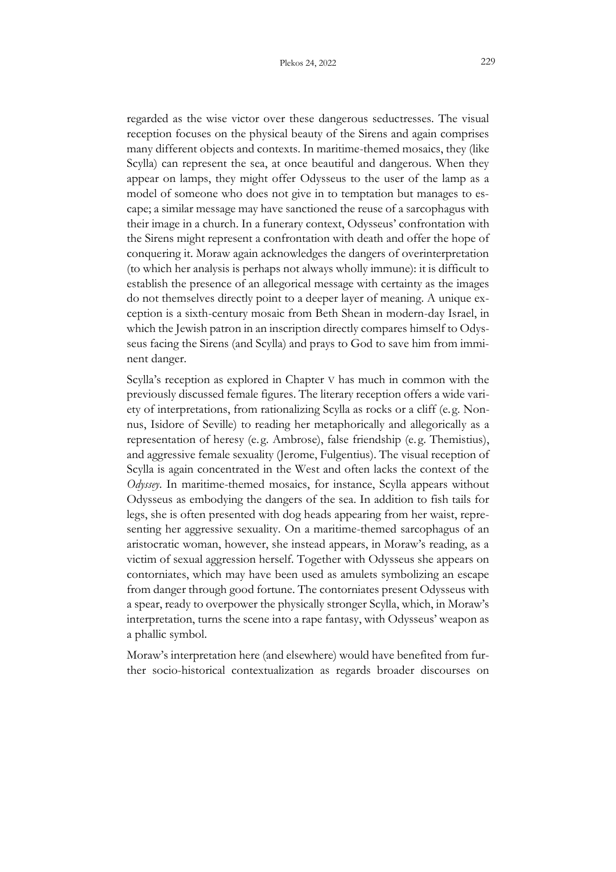regarded as the wise victor over these dangerous seductresses. The visual reception focuses on the physical beauty of the Sirens and again comprises many different objects and contexts. In maritime-themed mosaics, they (like Scylla) can represent the sea, at once beautiful and dangerous. When they appear on lamps, they might offer Odysseus to the user of the lamp as a model of someone who does not give in to temptation but manages to escape; a similar message may have sanctioned the reuse of a sarcophagus with their image in a church. In a funerary context, Odysseus' confrontation with the Sirens might represent a confrontation with death and offer the hope of conquering it. Moraw again acknowledges the dangers of overinterpretation (to which her analysis is perhaps not always wholly immune): it is difficult to establish the presence of an allegorical message with certainty as the images do not themselves directly point to a deeper layer of meaning. A unique exception is a sixth-century mosaic from Beth Shean in modern-day Israel, in which the Jewish patron in an inscription directly compares himself to Odysseus facing the Sirens (and Scylla) and prays to God to save him from imminent danger.

Scylla's reception as explored in Chapter V has much in common with the previously discussed female figures. The literary reception offers a wide variety of interpretations, from rationalizing Scylla as rocks or a cliff (e.g. Nonnus, Isidore of Seville) to reading her metaphorically and allegorically as a representation of heresy (e. g. Ambrose), false friendship (e. g. Themistius), and aggressive female sexuality (Jerome, Fulgentius). The visual reception of Scylla is again concentrated in the West and often lacks the context of the *Odyssey*. In maritime-themed mosaics, for instance, Scylla appears without Odysseus as embodying the dangers of the sea. In addition to fish tails for legs, she is often presented with dog heads appearing from her waist, representing her aggressive sexuality. On a maritime-themed sarcophagus of an aristocratic woman, however, she instead appears, in Moraw's reading, as a victim of sexual aggression herself. Together with Odysseus she appears on contorniates, which may have been used as amulets symbolizing an escape from danger through good fortune. The contorniates present Odysseus with a spear, ready to overpower the physically stronger Scylla, which, in Moraw's interpretation, turns the scene into a rape fantasy, with Odysseus' weapon as a phallic symbol.

Moraw's interpretation here (and elsewhere) would have benefited from further socio-historical contextualization as regards broader discourses on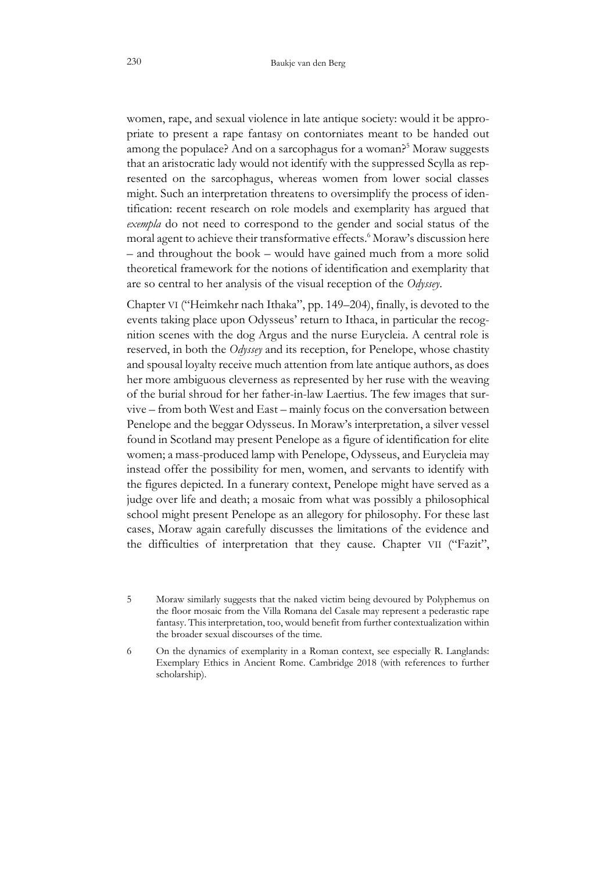women, rape, and sexual violence in late antique society: would it be appropriate to present a rape fantasy on contorniates meant to be handed out among the populace? And on a sarcophagus for a woman?<sup>5</sup> Moraw suggests that an aristocratic lady would not identify with the suppressed Scylla as represented on the sarcophagus, whereas women from lower social classes might. Such an interpretation threatens to oversimplify the process of identification: recent research on role models and exemplarity has argued that *exempla* do not need to correspond to the gender and social status of the moral agent to achieve their transformative effects.<sup>6</sup> Moraw's discussion here – and throughout the book – would have gained much from a more solid theoretical framework for the notions of identification and exemplarity that are so central to her analysis of the visual reception of the *Odyssey*.

Chapter VI ("Heimkehr nach Ithaka", pp. 149–204), finally, is devoted to the events taking place upon Odysseus' return to Ithaca, in particular the recognition scenes with the dog Argus and the nurse Eurycleia. A central role is reserved, in both the *Odyssey* and its reception, for Penelope, whose chastity and spousal loyalty receive much attention from late antique authors, as does her more ambiguous cleverness as represented by her ruse with the weaving of the burial shroud for her father-in-law Laertius. The few images that survive – from both West and East – mainly focus on the conversation between Penelope and the beggar Odysseus. In Moraw's interpretation, a silver vessel found in Scotland may present Penelope as a figure of identification for elite women; a mass-produced lamp with Penelope, Odysseus, and Eurycleia may instead offer the possibility for men, women, and servants to identify with the figures depicted. In a funerary context, Penelope might have served as a judge over life and death; a mosaic from what was possibly a philosophical school might present Penelope as an allegory for philosophy. For these last cases, Moraw again carefully discusses the limitations of the evidence and the difficulties of interpretation that they cause. Chapter VII ("Fazit",

<sup>5</sup> Moraw similarly suggests that the naked victim being devoured by Polyphemus on the floor mosaic from the Villa Romana del Casale may represent a pederastic rape fantasy. This interpretation, too, would benefit from further contextualization within the broader sexual discourses of the time.

<sup>6</sup> On the dynamics of exemplarity in a Roman context, see especially R. Langlands: Exemplary Ethics in Ancient Rome. Cambridge 2018 (with references to further scholarship).